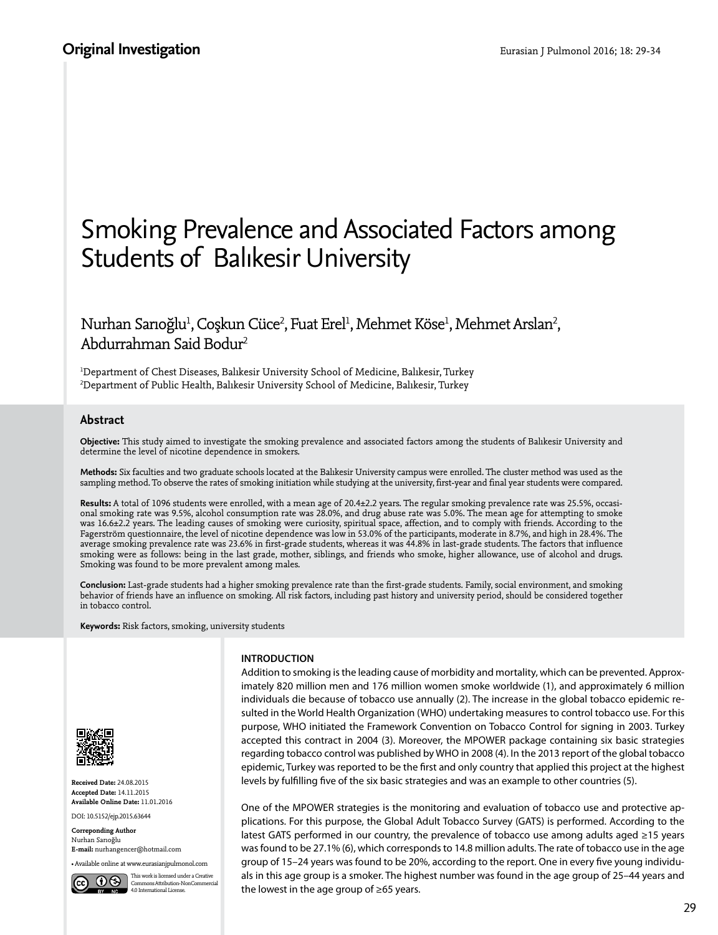# Smoking Prevalence and Associated Factors among Students of Balıkesir University

Nurhan Sarıoğlu<sup>ı</sup>, Coşkun Cüce<sup>2</sup>, Fuat Erel<sup>ı</sup>, Mehmet Köse<sup>ı</sup>, Mehmet Arslan<sup>2</sup>, Abdurrahman Said Bodur<sup>2</sup>

1 Department of Chest Diseases, Balıkesir University School of Medicine, Balıkesir, Turkey 2 Department of Public Health, Balıkesir University School of Medicine, Balıkesir, Turkey

## **Abstract**

**Objective:** This study aimed to investigate the smoking prevalence and associated factors among the students of Balıkesir University and determine the level of nicotine dependence in smokers.

**Methods:** Six faculties and two graduate schools located at the Balıkesir University campus were enrolled. The cluster method was used as the sampling method. To observe the rates of smoking initiation while studying at the university, first-year and final year students were compared.

**Results:** A total of 1096 students were enrolled, with a mean age of 20.4±2.2 years. The regular smoking prevalence rate was 25.5%, occasional smoking rate was 9.5%, alcohol consumption rate was 28.0%, and drug abuse rate was 5.0%. The mean age for attempting to smoke was 16.6±2.2 years. The leading causes of smoking were curiosity, spiritual space, affection, and to comply with friends. According to the Fagerström questionnaire, the level of nicotine dependence was low in 53.0% of the participants, moderate in 8.7%, and high in 28.4%. The average smoking prevalence rate was 23.6% in first-grade students, whereas it was 44.8% in last-grade students. The factors that influence smoking were as follows: being in the last grade, mother, siblings, and friends who smoke, higher allowance, use of alcohol and drugs. Smoking was found to be more prevalent among males.

**Conclusion:** Last-grade students had a higher smoking prevalence rate than the first-grade students. Family, social environment, and smoking behavior of friends have an influence on smoking. All risk factors, including past history and university period, should be considered together in tobacco control.

**Keywords:** Risk factors, smoking, university students



**Received Date:** 24.08.2015 **Accepted Date:** 14.11.2015 **Available Online Date:** 11.01.2016 DOI: 10.5152/ejp.2015.63644

**Correponding Author** Nurhan Sarıoğlu **E-mail:** nurhangencer@hotmail.com

• Available online at www.eurasianjpulmonol.com



**INTRODUCTION**

Addition to smoking is the leading cause of morbidity and mortality, which can be prevented. Approximately 820 million men and 176 million women smoke worldwide (1), and approximately 6 million individuals die because of tobacco use annually (2). The increase in the global tobacco epidemic resulted in the World Health Organization (WHO) undertaking measures to control tobacco use. For this purpose, WHO initiated the Framework Convention on Tobacco Control for signing in 2003. Turkey accepted this contract in 2004 (3). Moreover, the MPOWER package containing six basic strategies regarding tobacco control was published by WHO in 2008 (4). In the 2013 report of the global tobacco epidemic, Turkey was reported to be the first and only country that applied this project at the highest levels by fulfilling five of the six basic strategies and was an example to other countries (5).

One of the MPOWER strategies is the monitoring and evaluation of tobacco use and protective applications. For this purpose, the Global Adult Tobacco Survey (GATS) is performed. According to the latest GATS performed in our country, the prevalence of tobacco use among adults aged ≥15 years was found to be 27.1% (6), which corresponds to 14.8 million adults. The rate of tobacco use in the age group of 15–24 years was found to be 20%, according to the report. One in every five young individuals in this age group is a smoker. The highest number was found in the age group of 25–44 years and the lowest in the age group of ≥65 years.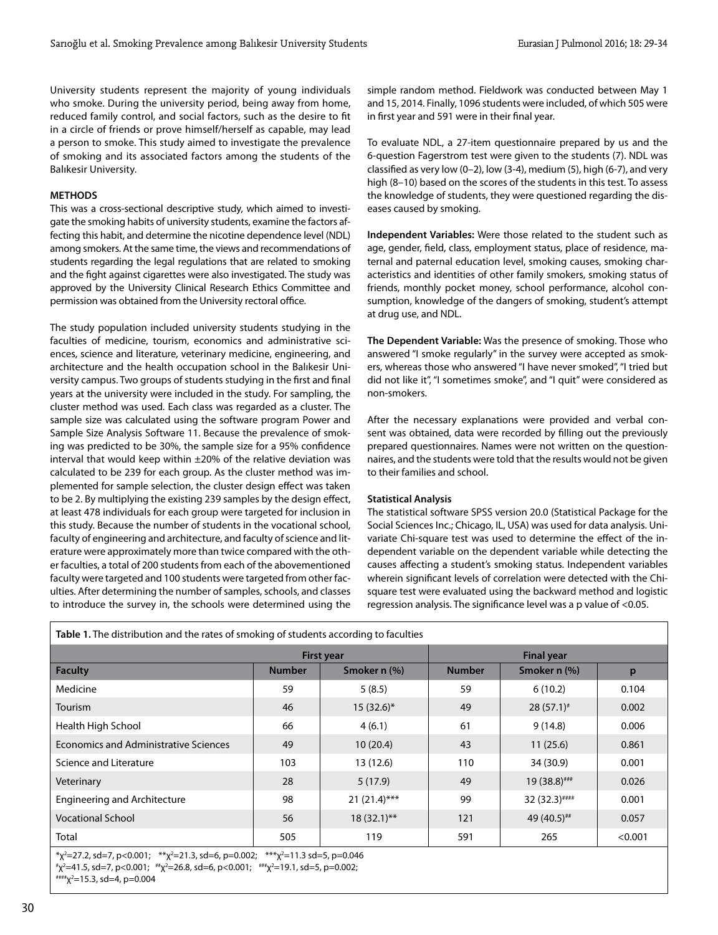University students represent the majority of young individuals who smoke. During the university period, being away from home, reduced family control, and social factors, such as the desire to fit in a circle of friends or prove himself/herself as capable, may lead a person to smoke. This study aimed to investigate the prevalence of smoking and its associated factors among the students of the Balıkesir University.

## **METHODS**

This was a cross-sectional descriptive study, which aimed to investigate the smoking habits of university students, examine the factors affecting this habit, and determine the nicotine dependence level (NDL) among smokers. At the same time, the views and recommendations of students regarding the legal regulations that are related to smoking and the fight against cigarettes were also investigated. The study was approved by the University Clinical Research Ethics Committee and permission was obtained from the University rectoral office.

The study population included university students studying in the faculties of medicine, tourism, economics and administrative sciences, science and literature, veterinary medicine, engineering, and architecture and the health occupation school in the Balıkesir University campus. Two groups of students studying in the first and final years at the university were included in the study. For sampling, the cluster method was used. Each class was regarded as a cluster. The sample size was calculated using the software program Power and Sample Size Analysis Software 11. Because the prevalence of smoking was predicted to be 30%, the sample size for a 95% confidence interval that would keep within  $\pm 20\%$  of the relative deviation was calculated to be 239 for each group. As the cluster method was implemented for sample selection, the cluster design effect was taken to be 2. By multiplying the existing 239 samples by the design effect, at least 478 individuals for each group were targeted for inclusion in this study. Because the number of students in the vocational school, faculty of engineering and architecture, and faculty of science and literature were approximately more than twice compared with the other faculties, a total of 200 students from each of the abovementioned faculty were targeted and 100 students were targeted from other faculties. After determining the number of samples, schools, and classes to introduce the survey in, the schools were determined using the

simple random method. Fieldwork was conducted between May 1 and 15, 2014. Finally, 1096 students were included, of which 505 were in first year and 591 were in their final year.

To evaluate NDL, a 27-item questionnaire prepared by us and the 6-question Fagerstrom test were given to the students (7). NDL was classified as very low (0–2), low (3-4), medium (5), high (6-7), and very high (8–10) based on the scores of the students in this test. To assess the knowledge of students, they were questioned regarding the diseases caused by smoking.

**Independent Variables:** Were those related to the student such as age, gender, field, class, employment status, place of residence, maternal and paternal education level, smoking causes, smoking characteristics and identities of other family smokers, smoking status of friends, monthly pocket money, school performance, alcohol consumption, knowledge of the dangers of smoking, student's attempt at drug use, and NDL.

**The Dependent Variable:** Was the presence of smoking. Those who answered "I smoke regularly" in the survey were accepted as smokers, whereas those who answered "I have never smoked", "I tried but did not like it", "I sometimes smoke", and "I quit" were considered as non-smokers.

After the necessary explanations were provided and verbal consent was obtained, data were recorded by filling out the previously prepared questionnaires. Names were not written on the questionnaires, and the students were told that the results would not be given to their families and school.

### **Statistical Analysis**

The statistical software SPSS version 20.0 (Statistical Package for the Social Sciences Inc.; Chicago, IL, USA) was used for data analysis. Univariate Chi-square test was used to determine the effect of the independent variable on the dependent variable while detecting the causes affecting a student's smoking status. Independent variables wherein significant levels of correlation were detected with the Chisquare test were evaluated using the backward method and logistic regression analysis. The significance level was a p value of <0.05.

| Table 1. The distribution and the rates of smoking of students according to faculties |                   |                 |               |                   |         |  |  |  |
|---------------------------------------------------------------------------------------|-------------------|-----------------|---------------|-------------------|---------|--|--|--|
|                                                                                       | <b>First year</b> |                 |               | <b>Final year</b> |         |  |  |  |
| <b>Faculty</b>                                                                        | <b>Number</b>     | Smoker n (%)    | <b>Number</b> | Smoker n (%)      | p       |  |  |  |
| Medicine                                                                              | 59                | 5(8.5)          | 59            | 6(10.2)           | 0.104   |  |  |  |
| Tourism                                                                               | 46                | $15(32.6)^{*}$  | 49            | $28(57.1)^{*}$    | 0.002   |  |  |  |
| Health High School                                                                    | 66                | 4(6.1)          | 61            | 9(14.8)           | 0.006   |  |  |  |
| <b>Economics and Administrative Sciences</b>                                          | 49                | 10(20.4)        | 43            | 11(25.6)          | 0.861   |  |  |  |
| Science and Literature                                                                | 103               | 13 (12.6)       | 110           | 34 (30.9)         | 0.001   |  |  |  |
| Veterinary                                                                            | 28                | 5(17.9)         | 49            | 19 (38.8)###      | 0.026   |  |  |  |
| <b>Engineering and Architecture</b>                                                   | 98                | $21 (21.4)$ *** | 99            | $32(32.3)$ ####   | 0.001   |  |  |  |
| <b>Vocational School</b>                                                              | 56                | $18(32.1)$ **   | 121           | 49 (40.5)##       | 0.057   |  |  |  |
| Total                                                                                 | 505               | 119             | 591           | 265               | < 0.001 |  |  |  |
| $*0.0223$ and $7.4001$ , $*0.001$ , $*0.0022$ and $*0.003$ , $*0.003$ , $*0.007$      |                   |                 |               |                   |         |  |  |  |

 $\frac{1}{2}$   $\frac{x^2}{2}$  = 27.2, sd=7, p<0.001;  $\frac{x}{2}$   $\frac{x}{2}$  = 21.3, sd=6, p=0.002;  $\frac{x}{2}$   $\frac{x}{2}$  $***x^2=11.3$  sd=5, p=0.046

#χ<sup>2</sup>=41.5, sd=7, p<0.001; #\*χ<sup>2</sup>=26.8, sd=6, p<0.001; ##\*χ<sup>2</sup>=19.1, sd=5, p=0.002;<br><sup>###</sup>χ<sup>2</sup>=15.3, sd=4, p=0.004

 $***x^2=15.3$ , sd=4, p=0.004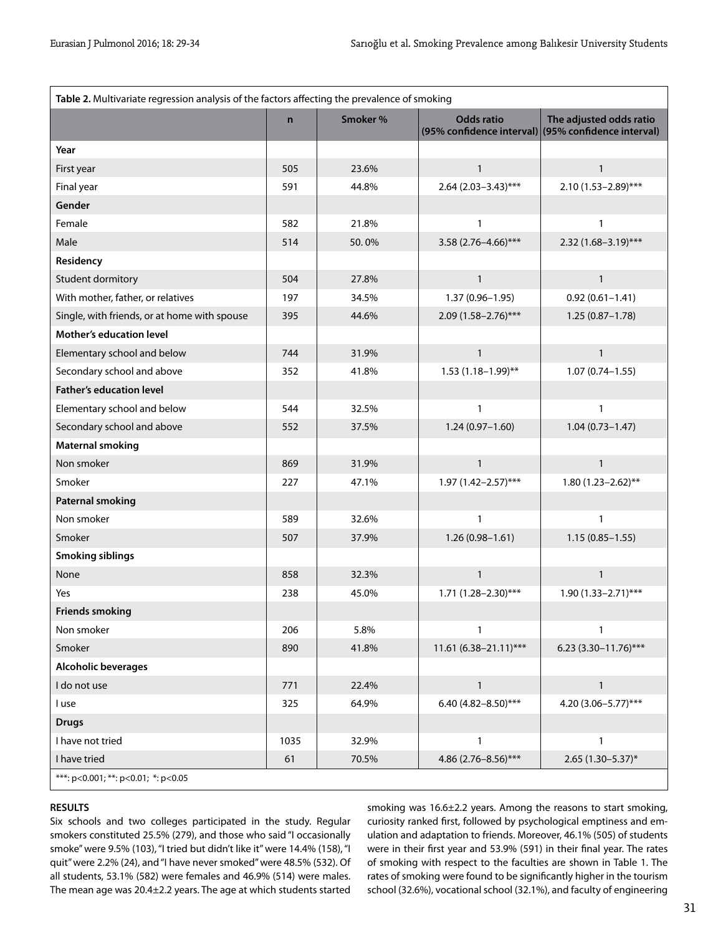| Table 2. Multivariate regression analysis of the factors affecting the prevalence of smoking |              |         |                         |                                                                                |  |  |  |
|----------------------------------------------------------------------------------------------|--------------|---------|-------------------------|--------------------------------------------------------------------------------|--|--|--|
|                                                                                              | $\mathsf{n}$ | Smoker% | <b>Odds ratio</b>       | The adjusted odds ratio<br>(95% confidence interval) (95% confidence interval) |  |  |  |
| Year                                                                                         |              |         |                         |                                                                                |  |  |  |
| First year                                                                                   | 505          | 23.6%   | $\mathbf{1}$            | $\mathbf{1}$                                                                   |  |  |  |
| Final year                                                                                   | 591          | 44.8%   | $2.64(2.03 - 3.43)$ *** | 2.10 (1.53-2.89)***                                                            |  |  |  |
| Gender                                                                                       |              |         |                         |                                                                                |  |  |  |
| Female                                                                                       | 582          | 21.8%   | 1                       | 1                                                                              |  |  |  |
| Male                                                                                         | 514          | 50.0%   | $3.58(2.76 - 4.66)$ *** | $2.32(1.68 - 3.19)$ ***                                                        |  |  |  |
| Residency                                                                                    |              |         |                         |                                                                                |  |  |  |
| Student dormitory                                                                            | 504          | 27.8%   | $\mathbf{1}$            | $\mathbf{1}$                                                                   |  |  |  |
| With mother, father, or relatives                                                            | 197          | 34.5%   | $1.37(0.96 - 1.95)$     | $0.92(0.61 - 1.41)$                                                            |  |  |  |
| Single, with friends, or at home with spouse                                                 | 395          | 44.6%   | $2.09(1.58 - 2.76)$ *** | $1.25(0.87 - 1.78)$                                                            |  |  |  |
| Mother's education level                                                                     |              |         |                         |                                                                                |  |  |  |
| Elementary school and below                                                                  | 744          | 31.9%   | $\mathbf{1}$            | $\mathbf{1}$                                                                   |  |  |  |
| Secondary school and above                                                                   | 352          | 41.8%   | $1.53(1.18 - 1.99)$ **  | $1.07(0.74 - 1.55)$                                                            |  |  |  |
| <b>Father's education level</b>                                                              |              |         |                         |                                                                                |  |  |  |
| Elementary school and below                                                                  | 544          | 32.5%   | $\mathbf{1}$            | 1                                                                              |  |  |  |
| Secondary school and above                                                                   | 552          | 37.5%   | $1.24(0.97 - 1.60)$     | $1.04(0.73 - 1.47)$                                                            |  |  |  |
| <b>Maternal smoking</b>                                                                      |              |         |                         |                                                                                |  |  |  |
| Non smoker                                                                                   | 869          | 31.9%   | $\mathbf{1}$            | $\mathbf{1}$                                                                   |  |  |  |
| Smoker                                                                                       | 227          | 47.1%   | $1.97(1.42 - 2.57)$ *** | $1.80(1.23 - 2.62)$ **                                                         |  |  |  |
| <b>Paternal smoking</b>                                                                      |              |         |                         |                                                                                |  |  |  |
| Non smoker                                                                                   | 589          | 32.6%   | $\mathbf{1}$            | 1                                                                              |  |  |  |
| Smoker                                                                                       | 507          | 37.9%   | $1.26(0.98 - 1.61)$     | $1.15(0.85 - 1.55)$                                                            |  |  |  |
| <b>Smoking siblings</b>                                                                      |              |         |                         |                                                                                |  |  |  |
| None                                                                                         | 858          | 32.3%   | $\mathbf{1}$            | 1                                                                              |  |  |  |
| Yes                                                                                          | 238          | 45.0%   | $1.71(1.28 - 2.30)$ *** | $1.90(1.33 - 2.71)$ ***                                                        |  |  |  |
| <b>Friends smoking</b>                                                                       |              |         |                         |                                                                                |  |  |  |
| Non smoker                                                                                   | 206          | 5.8%    | $\mathbf{1}$            | 1                                                                              |  |  |  |
| Smoker                                                                                       | 890          | 41.8%   | 11.61 (6.38-21.11)***   | 6.23 (3.30-11.76)***                                                           |  |  |  |
| Alcoholic beverages                                                                          |              |         |                         |                                                                                |  |  |  |
| I do not use                                                                                 | 771          | 22.4%   | $\mathbf{1}$            | $\mathbf{1}$                                                                   |  |  |  |
| I use                                                                                        | 325          | 64.9%   | 6.40 (4.82-8.50)***     | 4.20 (3.06-5.77)***                                                            |  |  |  |
| <b>Drugs</b>                                                                                 |              |         |                         |                                                                                |  |  |  |
| I have not tried                                                                             | 1035         | 32.9%   | $\mathbf{1}$            | 1                                                                              |  |  |  |
| I have tried                                                                                 | 61           | 70.5%   | 4.86 (2.76-8.56)***     | $2.65(1.30-5.37)$ *                                                            |  |  |  |
| ***: $p < 0.001$ ; **: $p < 0.01$ ; *: $p < 0.05$                                            |              |         |                         |                                                                                |  |  |  |

### **RESULTS**

Six schools and two colleges participated in the study. Regular smokers constituted 25.5% (279), and those who said "I occasionally smoke" were 9.5% (103), "I tried but didn't like it" were 14.4% (158), "I quit" were 2.2% (24), and "I have never smoked" were 48.5% (532). Of all students, 53.1% (582) were females and 46.9% (514) were males. The mean age was 20.4±2.2 years. The age at which students started smoking was 16.6±2.2 years. Among the reasons to start smoking, curiosity ranked first, followed by psychological emptiness and emulation and adaptation to friends. Moreover, 46.1% (505) of students were in their first year and 53.9% (591) in their final year. The rates of smoking with respect to the faculties are shown in Table 1. The rates of smoking were found to be significantly higher in the tourism school (32.6%), vocational school (32.1%), and faculty of engineering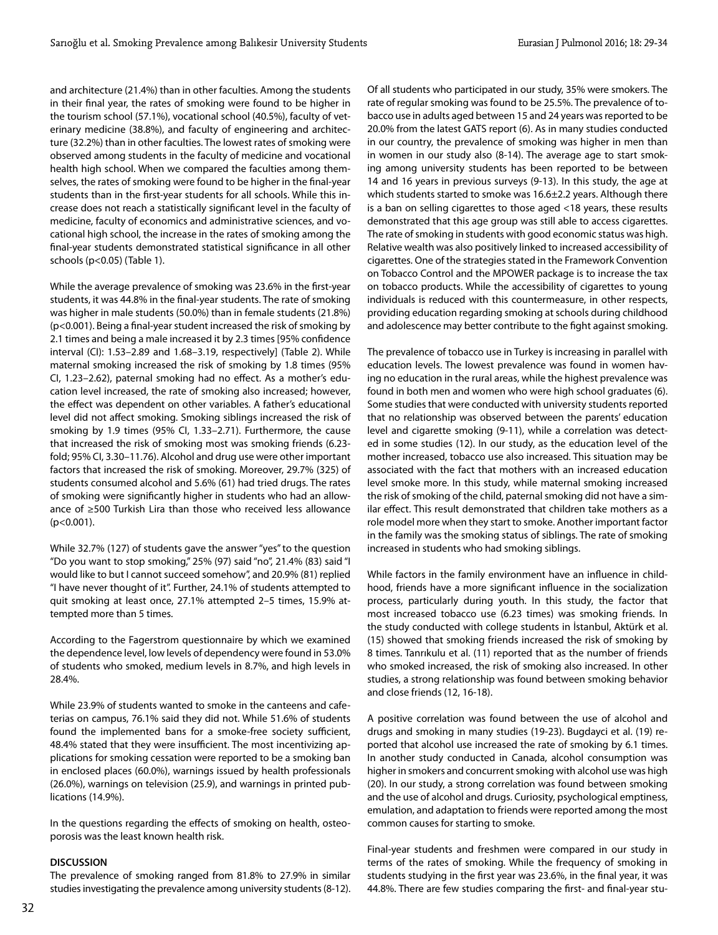and architecture (21.4%) than in other faculties. Among the students in their final year, the rates of smoking were found to be higher in the tourism school (57.1%), vocational school (40.5%), faculty of veterinary medicine (38.8%), and faculty of engineering and architecture (32.2%) than in other faculties. The lowest rates of smoking were observed among students in the faculty of medicine and vocational health high school. When we compared the faculties among themselves, the rates of smoking were found to be higher in the final-year students than in the first-year students for all schools. While this increase does not reach a statistically significant level in the faculty of medicine, faculty of economics and administrative sciences, and vocational high school, the increase in the rates of smoking among the final-year students demonstrated statistical significance in all other schools (p<0.05) (Table 1).

While the average prevalence of smoking was 23.6% in the first-year students, it was 44.8% in the final-year students. The rate of smoking was higher in male students (50.0%) than in female students (21.8%) (p<0.001). Being a final-year student increased the risk of smoking by 2.1 times and being a male increased it by 2.3 times [95% confidence interval (CI): 1.53–2.89 and 1.68–3.19, respectively] (Table 2). While maternal smoking increased the risk of smoking by 1.8 times (95% CI, 1.23–2.62), paternal smoking had no effect. As a mother's education level increased, the rate of smoking also increased; however, the effect was dependent on other variables. A father's educational level did not affect smoking. Smoking siblings increased the risk of smoking by 1.9 times (95% CI, 1.33–2.71). Furthermore, the cause that increased the risk of smoking most was smoking friends (6.23 fold; 95% CI, 3.30–11.76). Alcohol and drug use were other important factors that increased the risk of smoking. Moreover, 29.7% (325) of students consumed alcohol and 5.6% (61) had tried drugs. The rates of smoking were significantly higher in students who had an allowance of ≥500 Turkish Lira than those who received less allowance (p<0.001).

While 32.7% (127) of students gave the answer "yes" to the question "Do you want to stop smoking," 25% (97) said "no", 21.4% (83) said "I would like to but I cannot succeed somehow", and 20.9% (81) replied "I have never thought of it". Further, 24.1% of students attempted to quit smoking at least once, 27.1% attempted 2–5 times, 15.9% attempted more than 5 times.

According to the Fagerstrom questionnaire by which we examined the dependence level, low levels of dependency were found in 53.0% of students who smoked, medium levels in 8.7%, and high levels in 28.4%.

While 23.9% of students wanted to smoke in the canteens and cafeterias on campus, 76.1% said they did not. While 51.6% of students found the implemented bans for a smoke-free society sufficient, 48.4% stated that they were insufficient. The most incentivizing applications for smoking cessation were reported to be a smoking ban in enclosed places (60.0%), warnings issued by health professionals (26.0%), warnings on television (25.9), and warnings in printed publications (14.9%).

In the questions regarding the effects of smoking on health, osteoporosis was the least known health risk.

### **DISCUSSION**

The prevalence of smoking ranged from 81.8% to 27.9% in similar studies investigating the prevalence among university students (8-12).

Of all students who participated in our study, 35% were smokers. The rate of regular smoking was found to be 25.5%. The prevalence of tobacco use in adults aged between 15 and 24 years was reported to be 20.0% from the latest GATS report (6). As in many studies conducted in our country, the prevalence of smoking was higher in men than in women in our study also (8-14). The average age to start smoking among university students has been reported to be between 14 and 16 years in previous surveys (9-13). In this study, the age at which students started to smoke was 16.6±2.2 years. Although there is a ban on selling cigarettes to those aged <18 years, these results demonstrated that this age group was still able to access cigarettes. The rate of smoking in students with good economic status was high. Relative wealth was also positively linked to increased accessibility of cigarettes. One of the strategies stated in the Framework Convention on Tobacco Control and the MPOWER package is to increase the tax on tobacco products. While the accessibility of cigarettes to young individuals is reduced with this countermeasure, in other respects, providing education regarding smoking at schools during childhood and adolescence may better contribute to the fight against smoking.

The prevalence of tobacco use in Turkey is increasing in parallel with education levels. The lowest prevalence was found in women having no education in the rural areas, while the highest prevalence was found in both men and women who were high school graduates (6). Some studies that were conducted with university students reported that no relationship was observed between the parents' education level and cigarette smoking (9-11), while a correlation was detected in some studies (12). In our study, as the education level of the mother increased, tobacco use also increased. This situation may be associated with the fact that mothers with an increased education level smoke more. In this study, while maternal smoking increased the risk of smoking of the child, paternal smoking did not have a similar effect. This result demonstrated that children take mothers as a role model more when they start to smoke. Another important factor in the family was the smoking status of siblings. The rate of smoking increased in students who had smoking siblings.

While factors in the family environment have an influence in childhood, friends have a more significant influence in the socialization process, particularly during youth. In this study, the factor that most increased tobacco use (6.23 times) was smoking friends. In the study conducted with college students in İstanbul, Aktürk et al. (15) showed that smoking friends increased the risk of smoking by 8 times. Tanrıkulu et al. (11) reported that as the number of friends who smoked increased, the risk of smoking also increased. In other studies, a strong relationship was found between smoking behavior and close friends (12, 16-18).

A positive correlation was found between the use of alcohol and drugs and smoking in many studies (19-23). Bugdayci et al. (19) reported that alcohol use increased the rate of smoking by 6.1 times. In another study conducted in Canada, alcohol consumption was higher in smokers and concurrent smoking with alcohol use was high (20). In our study, a strong correlation was found between smoking and the use of alcohol and drugs. Curiosity, psychological emptiness, emulation, and adaptation to friends were reported among the most common causes for starting to smoke.

Final-year students and freshmen were compared in our study in terms of the rates of smoking. While the frequency of smoking in students studying in the first year was 23.6%, in the final year, it was 44.8%. There are few studies comparing the first- and final-year stu-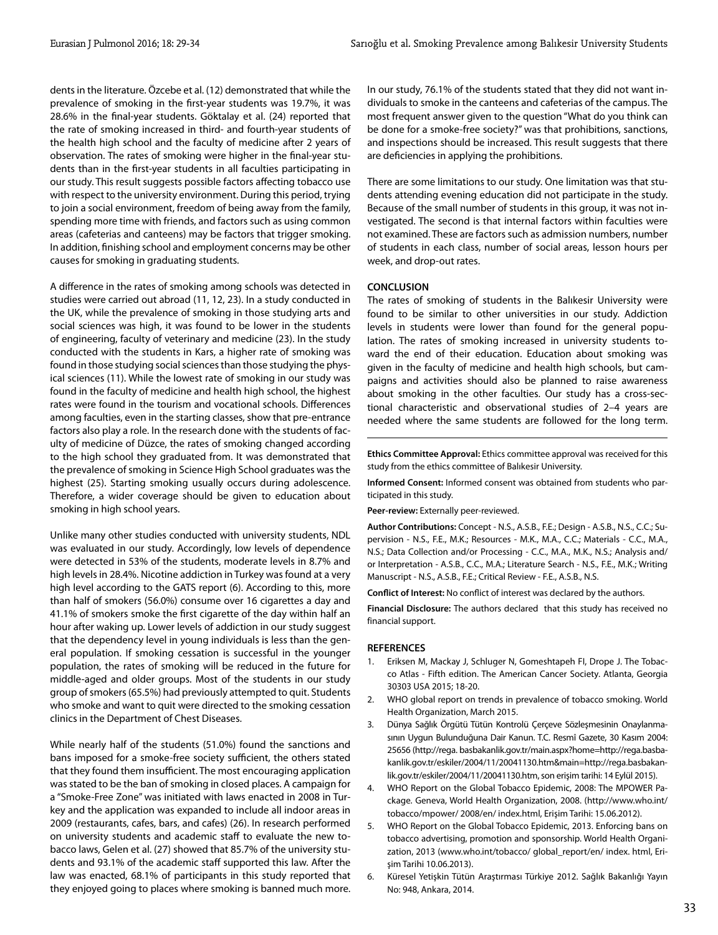dents in the literature. Özcebe et al. (12) demonstrated that while the prevalence of smoking in the first-year students was 19.7%, it was 28.6% in the final-year students. Göktalay et al. (24) reported that the rate of smoking increased in third- and fourth-year students of the health high school and the faculty of medicine after 2 years of observation. The rates of smoking were higher in the final-year students than in the first-year students in all faculties participating in our study. This result suggests possible factors affecting tobacco use with respect to the university environment. During this period, trying to join a social environment, freedom of being away from the family, spending more time with friends, and factors such as using common areas (cafeterias and canteens) may be factors that trigger smoking. In addition, finishing school and employment concerns may be other causes for smoking in graduating students.

A difference in the rates of smoking among schools was detected in studies were carried out abroad (11, 12, 23). In a study conducted in the UK, while the prevalence of smoking in those studying arts and social sciences was high, it was found to be lower in the students of engineering, faculty of veterinary and medicine (23). In the study conducted with the students in Kars, a higher rate of smoking was found in those studying social sciences than those studying the physical sciences (11). While the lowest rate of smoking in our study was found in the faculty of medicine and health high school, the highest rates were found in the tourism and vocational schools. Differences among faculties, even in the starting classes, show that pre-entrance factors also play a role. In the research done with the students of faculty of medicine of Düzce, the rates of smoking changed according to the high school they graduated from. It was demonstrated that the prevalence of smoking in Science High School graduates was the highest (25). Starting smoking usually occurs during adolescence. Therefore, a wider coverage should be given to education about smoking in high school years.

Unlike many other studies conducted with university students, NDL was evaluated in our study. Accordingly, low levels of dependence were detected in 53% of the students, moderate levels in 8.7% and high levels in 28.4%. Nicotine addiction in Turkey was found at a very high level according to the GATS report (6). According to this, more than half of smokers (56.0%) consume over 16 cigarettes a day and 41.1% of smokers smoke the first cigarette of the day within half an hour after waking up. Lower levels of addiction in our study suggest that the dependency level in young individuals is less than the general population. If smoking cessation is successful in the younger population, the rates of smoking will be reduced in the future for middle-aged and older groups. Most of the students in our study group of smokers (65.5%) had previously attempted to quit. Students who smoke and want to quit were directed to the smoking cessation clinics in the Department of Chest Diseases.

While nearly half of the students (51.0%) found the sanctions and bans imposed for a smoke-free society sufficient, the others stated that they found them insufficient. The most encouraging application was stated to be the ban of smoking in closed places. A campaign for a "Smoke-Free Zone" was initiated with laws enacted in 2008 in Turkey and the application was expanded to include all indoor areas in 2009 (restaurants, cafes, bars, and cafes) (26). In research performed on university students and academic staff to evaluate the new tobacco laws, Gelen et al. (27) showed that 85.7% of the university students and 93.1% of the academic staff supported this law. After the law was enacted, 68.1% of participants in this study reported that they enjoyed going to places where smoking is banned much more.

In our study, 76.1% of the students stated that they did not want individuals to smoke in the canteens and cafeterias of the campus. The most frequent answer given to the question "What do you think can be done for a smoke-free society?" was that prohibitions, sanctions, and inspections should be increased. This result suggests that there are deficiencies in applying the prohibitions.

There are some limitations to our study. One limitation was that students attending evening education did not participate in the study. Because of the small number of students in this group, it was not investigated. The second is that internal factors within faculties were not examined. These are factors such as admission numbers, number of students in each class, number of social areas, lesson hours per week, and drop-out rates.

#### **CONCLUSION**

The rates of smoking of students in the Balıkesir University were found to be similar to other universities in our study. Addiction levels in students were lower than found for the general population. The rates of smoking increased in university students toward the end of their education. Education about smoking was given in the faculty of medicine and health high schools, but campaigns and activities should also be planned to raise awareness about smoking in the other faculties. Our study has a cross-sectional characteristic and observational studies of 2–4 years are needed where the same students are followed for the long term.

**Ethics Committee Approval:** Ethics committee approval was received for this study from the ethics committee of Balıkesir University.

**Informed Consent:** Informed consent was obtained from students who participated in this study.

**Peer-review:** Externally peer-reviewed.

**Author Contributions:** Concept - N.S., A.S.B., F.E.; Design - A.S.B., N.S., C.C.; Supervision - N.S., F.E., M.K.; Resources - M.K., M.A., C.C.; Materials - C.C., M.A., N.S.; Data Collection and/or Processing - C.C., M.A., M.K., N.S.; Analysis and/ or Interpretation - A.S.B., C.C., M.A.; Literature Search - N.S., F.E., M.K.; Writing Manuscript - N.S., A.S.B., F.E.; Critical Review - F.E., A.S.B., N.S.

**Conflict of Interest:** No conflict of interest was declared by the authors.

**Financial Disclosure:** The authors declared that this study has received no financial support.

#### **REFERENCES**

- 1. Eriksen M, Mackay J, Schluger N, Gomeshtapeh FI, Drope J. The Tobacco Atlas - Fifth edition. The American Cancer Society. Atlanta, Georgia 30303 USA 2015; 18-20.
- 2. WHO global report on trends in prevalence of tobacco smoking. World Health Organization, March 2015.
- 3. Dünya Sağlık Örgütü Tütün Kontrolü Çerçeve Sözleşmesinin Onaylanmasının Uygun Bulunduğuna Dair Kanun. T.C. Resmî Gazete, 30 Kasım 2004: 25656 (http://rega. basbakanlik.gov.tr/main.aspx?home=http://rega.basbakanlik.gov.tr/eskiler/2004/11/20041130.htm&main=http://rega.basbakanlik.gov.tr/eskiler/2004/11/20041130.htm, son erişim tarihi: 14 Eylül 2015).
- 4. WHO Report on the Global Tobacco Epidemic, 2008: The MPOWER Package. Geneva, World Health Organization, 2008. (http://www.who.int/ tobacco/mpower/ 2008/en/ index.html, Erişim Tarihi: 15.06.2012).
- WHO Report on the Global Tobacco Epidemic, 2013. Enforcing bans on tobacco advertising, promotion and sponsorship. World Health Organization, 2013 (www.who.int/tobacco/ global\_report/en/ index. html, Erişim Tarihi 10.06.2013).
- 6. Küresel Yetişkin Tütün Araştırması Türkiye 2012. Sağlık Bakanlığı Yayın No: 948, Ankara, 2014.